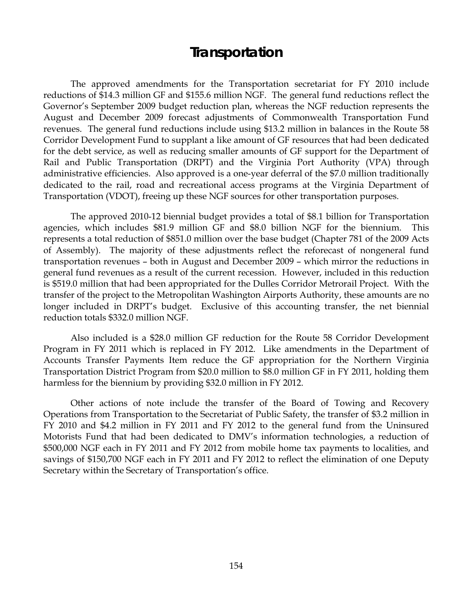# **Transportation**

 The approved amendments for the Transportation secretariat for FY 2010 include reductions of \$14.3 million GF and \$155.6 million NGF. The general fund reductions reflect the Governor's September 2009 budget reduction plan, whereas the NGF reduction represents the August and December 2009 forecast adjustments of Commonwealth Transportation Fund revenues. The general fund reductions include using \$13.2 million in balances in the Route 58 Corridor Development Fund to supplant a like amount of GF resources that had been dedicated for the debt service, as well as reducing smaller amounts of GF support for the Department of Rail and Public Transportation (DRPT) and the Virginia Port Authority (VPA) through administrative efficiencies. Also approved is a one-year deferral of the \$7.0 million traditionally dedicated to the rail, road and recreational access programs at the Virginia Department of Transportation (VDOT), freeing up these NGF sources for other transportation purposes.

 The approved 2010-12 biennial budget provides a total of \$8.1 billion for Transportation agencies, which includes \$81.9 million GF and \$8.0 billion NGF for the biennium. This represents a total reduction of \$851.0 million over the base budget (Chapter 781 of the 2009 Acts of Assembly). The majority of these adjustments reflect the reforecast of nongeneral fund transportation revenues – both in August and December 2009 – which mirror the reductions in general fund revenues as a result of the current recession. However, included in this reduction is \$519.0 million that had been appropriated for the Dulles Corridor Metrorail Project. With the transfer of the project to the Metropolitan Washington Airports Authority, these amounts are no longer included in DRPT's budget. Exclusive of this accounting transfer, the net biennial reduction totals \$332.0 million NGF.

 Also included is a \$28.0 million GF reduction for the Route 58 Corridor Development Program in FY 2011 which is replaced in FY 2012. Like amendments in the Department of Accounts Transfer Payments Item reduce the GF appropriation for the Northern Virginia Transportation District Program from \$20.0 million to \$8.0 million GF in FY 2011, holding them harmless for the biennium by providing \$32.0 million in FY 2012.

 Other actions of note include the transfer of the Board of Towing and Recovery Operations from Transportation to the Secretariat of Public Safety, the transfer of \$3.2 million in FY 2010 and \$4.2 million in FY 2011 and FY 2012 to the general fund from the Uninsured Motorists Fund that had been dedicated to DMV's information technologies, a reduction of \$500,000 NGF each in FY 2011 and FY 2012 from mobile home tax payments to localities, and savings of \$150,700 NGF each in FY 2011 and FY 2012 to reflect the elimination of one Deputy Secretary within the Secretary of Transportation's office.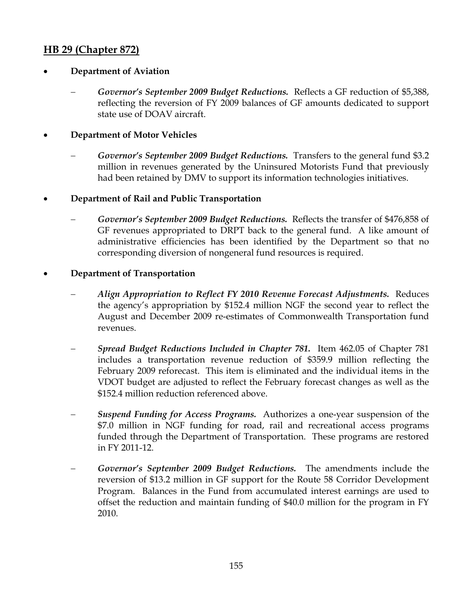# **HB 29 (Chapter 872)**

### • **Department of Aviation**

− *Governor's September 2009 Budget Reductions.* Reflects a GF reduction of \$5,388, reflecting the reversion of FY 2009 balances of GF amounts dedicated to support state use of DOAV aircraft.

### • **Department of Motor Vehicles**

- − *Governor's September 2009 Budget Reductions.* Transfers to the general fund \$3.2 million in revenues generated by the Uninsured Motorists Fund that previously had been retained by DMV to support its information technologies initiatives.
- **Department of Rail and Public Transportation** 
	- Governor's September 2009 Budget Reductions. Reflects the transfer of \$476,858 of GF revenues appropriated to DRPT back to the general fund. A like amount of administrative efficiencies has been identified by the Department so that no corresponding diversion of nongeneral fund resources is required.
- **Department of Transportation** 
	- − *Align Appropriation to Reflect FY 2010 Revenue Forecast Adjustments.* Reduces the agency's appropriation by \$152.4 million NGF the second year to reflect the August and December 2009 re-estimates of Commonwealth Transportation fund revenues.
	- − *Spread Budget Reductions Included in Chapter 781.* Item 462.05 of Chapter 781 includes a transportation revenue reduction of \$359.9 million reflecting the February 2009 reforecast. This item is eliminated and the individual items in the VDOT budget are adjusted to reflect the February forecast changes as well as the \$152.4 million reduction referenced above.
	- − *Suspend Funding for Access Programs.* Authorizes a one-year suspension of the \$7.0 million in NGF funding for road, rail and recreational access programs funded through the Department of Transportation. These programs are restored in FY 2011-12.
	- − *Governor's September 2009 Budget Reductions.* The amendments include the reversion of \$13.2 million in GF support for the Route 58 Corridor Development Program. Balances in the Fund from accumulated interest earnings are used to offset the reduction and maintain funding of \$40.0 million for the program in FY 2010.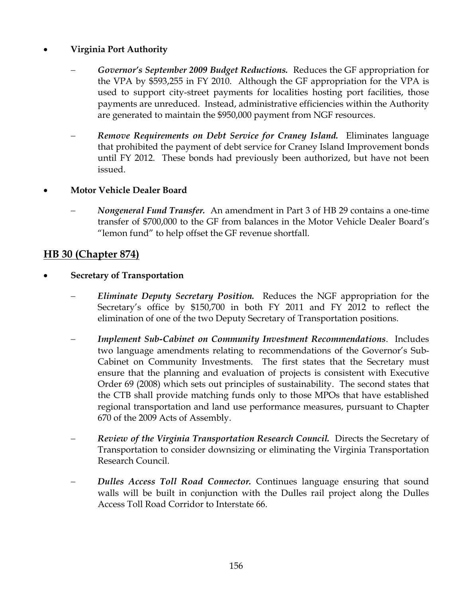## • **Virginia Port Authority**

- − *Governor's September 2009 Budget Reductions.* Reduces the GF appropriation for the VPA by \$593,255 in FY 2010. Although the GF appropriation for the VPA is used to support city-street payments for localities hosting port facilities, those payments are unreduced. Instead, administrative efficiencies within the Authority are generated to maintain the \$950,000 payment from NGF resources.
- − *Remove Requirements on Debt Service for Craney Island.* Eliminates language that prohibited the payment of debt service for Craney Island Improvement bonds until FY 2012. These bonds had previously been authorized, but have not been issued.

### • **Motor Vehicle Dealer Board**

− *Nongeneral Fund Transfer.* An amendment in Part 3 of HB 29 contains a one-time transfer of \$700,000 to the GF from balances in the Motor Vehicle Dealer Board's "lemon fund" to help offset the GF revenue shortfall.

# **HB 30 (Chapter 874)**

- **Secretary of Transportation** 
	- − *Eliminate Deputy Secretary Position.* Reduces the NGF appropriation for the Secretary's office by \$150,700 in both FY 2011 and FY 2012 to reflect the elimination of one of the two Deputy Secretary of Transportation positions.
	- *Implement Sub-Cabinet on Community Investment Recommendations. Includes* two language amendments relating to recommendations of the Governor's Sub-Cabinet on Community Investments. The first states that the Secretary must ensure that the planning and evaluation of projects is consistent with Executive Order 69 (2008) which sets out principles of sustainability. The second states that the CTB shall provide matching funds only to those MPOs that have established regional transportation and land use performance measures, pursuant to Chapter 670 of the 2009 Acts of Assembly.
	- *Review of the Virginia Transportation Research Council.* Directs the Secretary of Transportation to consider downsizing or eliminating the Virginia Transportation Research Council.
	- − *Dulles Access Toll Road Connector.* Continues language ensuring that sound walls will be built in conjunction with the Dulles rail project along the Dulles Access Toll Road Corridor to Interstate 66.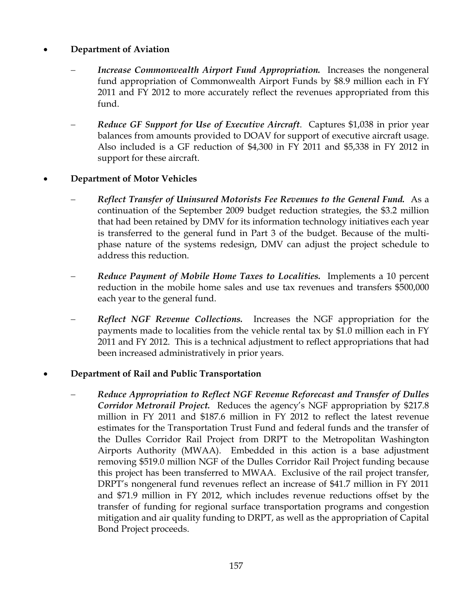### • **Department of Aviation**

- Increase Commonwealth Airport Fund Appropriation. Increases the nongeneral fund appropriation of Commonwealth Airport Funds by \$8.9 million each in FY 2011 and FY 2012 to more accurately reflect the revenues appropriated from this fund.
- − *Reduce GF Support for Use of Executive Aircraft*. Captures \$1,038 in prior year balances from amounts provided to DOAV for support of executive aircraft usage. Also included is a GF reduction of \$4,300 in FY 2011 and \$5,338 in FY 2012 in support for these aircraft.

#### • **Department of Motor Vehicles**

- − *Reflect Transfer of Uninsured Motorists Fee Revenues to the General Fund.* As a continuation of the September 2009 budget reduction strategies, the \$3.2 million that had been retained by DMV for its information technology initiatives each year is transferred to the general fund in Part 3 of the budget. Because of the multiphase nature of the systems redesign, DMV can adjust the project schedule to address this reduction.
- − *Reduce Payment of Mobile Home Taxes to Localities.* Implements a 10 percent reduction in the mobile home sales and use tax revenues and transfers \$500,000 each year to the general fund.
- *Reflect NGF Revenue Collections.* Increases the NGF appropriation for the payments made to localities from the vehicle rental tax by \$1.0 million each in FY 2011 and FY 2012. This is a technical adjustment to reflect appropriations that had been increased administratively in prior years.

#### • **Department of Rail and Public Transportation**

− *Reduce Appropriation to Reflect NGF Revenue Reforecast and Transfer of Dulles Corridor Metrorail Project.* Reduces the agency's NGF appropriation by \$217.8 million in FY 2011 and \$187.6 million in FY 2012 to reflect the latest revenue estimates for the Transportation Trust Fund and federal funds and the transfer of the Dulles Corridor Rail Project from DRPT to the Metropolitan Washington Airports Authority (MWAA). Embedded in this action is a base adjustment removing \$519.0 million NGF of the Dulles Corridor Rail Project funding because this project has been transferred to MWAA. Exclusive of the rail project transfer, DRPT's nongeneral fund revenues reflect an increase of \$41.7 million in FY 2011 and \$71.9 million in FY 2012, which includes revenue reductions offset by the transfer of funding for regional surface transportation programs and congestion mitigation and air quality funding to DRPT, as well as the appropriation of Capital Bond Project proceeds.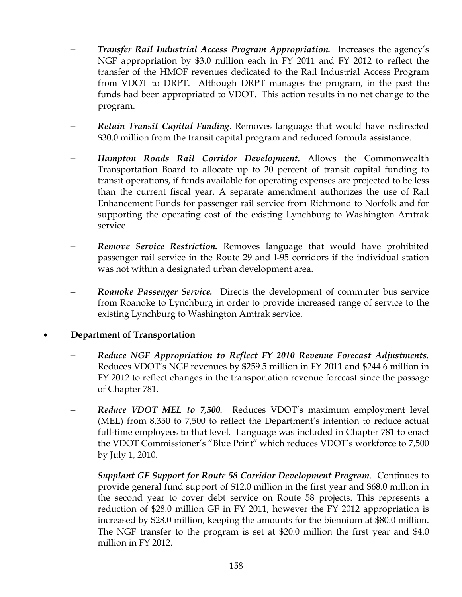- − *Transfer Rail Industrial Access Program Appropriation.* Increases the agency's NGF appropriation by \$3.0 million each in FY 2011 and FY 2012 to reflect the transfer of the HMOF revenues dedicated to the Rail Industrial Access Program from VDOT to DRPT. Although DRPT manages the program, in the past the funds had been appropriated to VDOT. This action results in no net change to the program.
- − *Retain Transit Capital Funding*. Removes language that would have redirected \$30.0 million from the transit capital program and reduced formula assistance.
- − *Hampton Roads Rail Corridor Development.* Allows the Commonwealth Transportation Board to allocate up to 20 percent of transit capital funding to transit operations, if funds available for operating expenses are projected to be less than the current fiscal year. A separate amendment authorizes the use of Rail Enhancement Funds for passenger rail service from Richmond to Norfolk and for supporting the operating cost of the existing Lynchburg to Washington Amtrak service
- *Remove Service Restriction.* Removes language that would have prohibited passenger rail service in the Route 29 and I-95 corridors if the individual station was not within a designated urban development area.
- − *Roanoke Passenger Service.* Directs the development of commuter bus service from Roanoke to Lynchburg in order to provide increased range of service to the existing Lynchburg to Washington Amtrak service.

### • **Department of Transportation**

- − *Reduce NGF Appropriation to Reflect FY 2010 Revenue Forecast Adjustments.*  Reduces VDOT's NGF revenues by \$259.5 million in FY 2011 and \$244.6 million in FY 2012 to reflect changes in the transportation revenue forecast since the passage of Chapter 781.
- *Reduce VDOT MEL to 7,500.* Reduces VDOT's maximum employment level (MEL) from 8,350 to 7,500 to reflect the Department's intention to reduce actual full-time employees to that level. Language was included in Chapter 781 to enact the VDOT Commissioner's "Blue Print" which reduces VDOT's workforce to 7,500 by July 1, 2010.
- − *Supplant GF Support for Route 58 Corridor Development Program*. Continues to provide general fund support of \$12.0 million in the first year and \$68.0 million in the second year to cover debt service on Route 58 projects. This represents a reduction of \$28.0 million GF in FY 2011, however the FY 2012 appropriation is increased by \$28.0 million, keeping the amounts for the biennium at \$80.0 million. The NGF transfer to the program is set at \$20.0 million the first year and \$4.0 million in FY 2012.